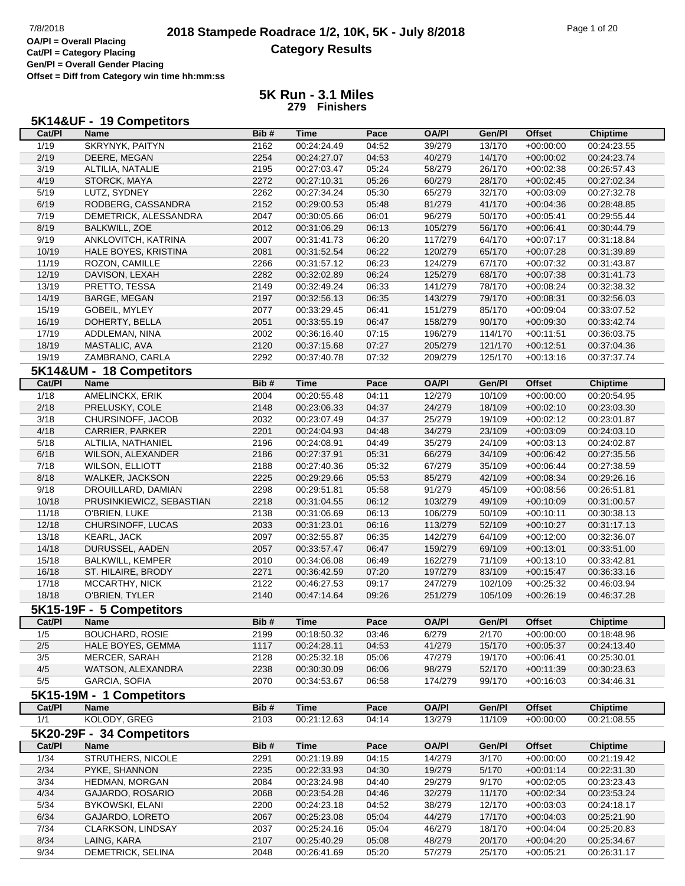### **2018 Stampede Roadrace 1/2, 10K, 5K - July 8/2018** 7/8/2018 Page 1 of 20 **Category Results**

**Cat/Pl = Category Placing Gen/Pl = Overall Gender Placing Offset = Diff from Category win time hh:mm:ss**

#### **5K Run - 3.1 Miles 279 Finishers**

|                | 5K14&UF - 19 Competitors  |      |             |       |              |         |               |                 |
|----------------|---------------------------|------|-------------|-------|--------------|---------|---------------|-----------------|
| Cat/PI         | <b>Name</b>               | Bib# | <b>Time</b> | Pace  | <b>OA/PI</b> | Gen/Pl  | <b>Offset</b> | <b>Chiptime</b> |
| 1/19           | SKRYNYK, PAITYN           | 2162 | 00:24:24.49 | 04:52 | 39/279       | 13/170  | $+00:00:00$   | 00:24:23.55     |
| 2/19           | DEERE, MEGAN              | 2254 | 00:24:27.07 | 04:53 | 40/279       | 14/170  | $+00:00:02$   | 00:24:23.74     |
| 3/19           | ALTILIA, NATALIE          | 2195 | 00:27:03.47 | 05:24 | 58/279       | 26/170  | $+00:02:38$   | 00:26:57.43     |
| 4/19           | STORCK, MAYA              | 2272 | 00:27:10.31 | 05:26 | 60/279       | 28/170  | $+00:02:45$   | 00:27:02.34     |
| 5/19           | LUTZ, SYDNEY              | 2262 | 00:27:34.24 | 05:30 | 65/279       | 32/170  | $+00:03:09$   | 00:27:32.78     |
| 6/19           | RODBERG, CASSANDRA        | 2152 | 00:29:00.53 | 05:48 | 81/279       | 41/170  | $+00:04:36$   | 00:28:48.85     |
| 7/19           | DEMETRICK, ALESSANDRA     | 2047 | 00:30:05.66 | 06:01 | 96/279       | 50/170  | $+00:05:41$   | 00:29:55.44     |
| 8/19           | <b>BALKWILL, ZOE</b>      | 2012 | 00:31:06.29 | 06:13 | 105/279      | 56/170  | $+00:06:41$   | 00:30:44.79     |
| 9/19           | ANKLOVITCH, KATRINA       | 2007 | 00:31:41.73 | 06:20 | 117/279      | 64/170  | $+00:07:17$   | 00:31:18.84     |
| 10/19          | HALE BOYES, KRISTINA      | 2081 | 00:31:52.54 | 06:22 | 120/279      | 65/170  | $+00:07:28$   | 00:31:39.89     |
| 11/19          | ROZON, CAMILLE            | 2266 | 00:31:57.12 | 06:23 | 124/279      | 67/170  | $+00:07:32$   | 00:31:43.87     |
| 12/19          | DAVISON, LEXAH            | 2282 | 00:32:02.89 | 06:24 | 125/279      | 68/170  | $+00:07:38$   | 00:31:41.73     |
| 13/19          | PRETTO, TESSA             | 2149 | 00:32:49.24 | 06:33 | 141/279      | 78/170  | $+00:08:24$   | 00:32:38.32     |
| 14/19          | BARGE, MEGAN              | 2197 | 00:32:56.13 | 06:35 | 143/279      | 79/170  | $+00:08:31$   | 00:32:56.03     |
| 15/19          | GOBEIL, MYLEY             | 2077 | 00:33:29.45 | 06:41 | 151/279      | 85/170  | $+00:09:04$   | 00:33:07.52     |
| 16/19          | DOHERTY, BELLA            | 2051 | 00:33:55.19 | 06:47 | 158/279      | 90/170  | $+00:09:30$   | 00:33:42.74     |
| 17/19          | ADDLEMAN, NINA            | 2002 | 00:36:16.40 | 07:15 | 196/279      | 114/170 | $+00:11:51$   | 00:36:03.75     |
| 18/19          | MASTALIC, AVA             | 2120 | 00:37:15.68 | 07:27 | 205/279      | 121/170 | $+00:12:51$   | 00:37:04.36     |
| 19/19          | ZAMBRANO, CARLA           | 2292 | 00:37:40.78 | 07:32 | 209/279      | 125/170 | $+00:13:16$   | 00:37:37.74     |
|                | 5K14&UM - 18 Competitors  |      |             |       |              |         |               |                 |
| Cat/PI         | <b>Name</b>               | Bib# | <b>Time</b> | Pace  | <b>OA/PI</b> | Gen/Pl  | <b>Offset</b> | <b>Chiptime</b> |
| 1/18           | AMELINCKX, ERIK           | 2004 | 00:20:55.48 | 04:11 | 12/279       | 10/109  | $+00:00:00$   | 00:20:54.95     |
| 2/18           | PRELUSKY, COLE            | 2148 | 00:23:06.33 | 04:37 | 24/279       | 18/109  | $+00:02:10$   | 00:23:03.30     |
| 3/18           | CHURSINOFF, JACOB         | 2032 | 00:23:07.49 | 04:37 | 25/279       | 19/109  | $+00:02:12$   | 00:23:01.87     |
| 4/18           | <b>CARRIER, PARKER</b>    | 2201 | 00:24:04.93 | 04:48 | 34/279       | 23/109  | $+00:03:09$   | 00:24:03.10     |
| 5/18           | ALTILIA, NATHANIEL        | 2196 | 00:24:08.91 | 04:49 | 35/279       | 24/109  | $+00:03:13$   | 00:24:02.87     |
| 6/18           | WILSON, ALEXANDER         | 2186 | 00:27:37.91 | 05:31 | 66/279       | 34/109  | $+00:06:42$   | 00:27:35.56     |
| 7/18           | <b>WILSON, ELLIOTT</b>    | 2188 | 00:27:40.36 | 05:32 | 67/279       | 35/109  | $+00:06:44$   | 00:27:38.59     |
| 8/18           | <b>WALKER, JACKSON</b>    | 2225 | 00:29:29.66 | 05:53 | 85/279       | 42/109  | $+00:08:34$   | 00:29:26.16     |
| 9/18           | DROUILLARD, DAMIAN        | 2298 | 00:29:51.81 | 05:58 | 91/279       | 45/109  | $+00:08:56$   | 00:26:51.81     |
| 10/18          | PRUSINKIEWICZ, SEBASTIAN  | 2218 | 00:31:04.55 | 06:12 | 103/279      | 49/109  | $+00:10:09$   | 00:31:00.57     |
| 11/18          | O'BRIEN, LUKE             | 2138 | 00:31:06.69 | 06:13 | 106/279      | 50/109  | $+00:10:11$   | 00:30:38.13     |
| 12/18          | CHURSINOFF, LUCAS         | 2033 | 00:31:23.01 | 06:16 | 113/279      | 52/109  | $+00:10:27$   | 00:31:17.13     |
| 13/18          | <b>KEARL, JACK</b>        | 2097 | 00:32:55.87 | 06:35 | 142/279      | 64/109  | $+00:12:00$   | 00:32:36.07     |
| 14/18          | DURUSSEL, AADEN           | 2057 | 00:33:57.47 | 06:47 | 159/279      | 69/109  | $+00:13:01$   | 00:33:51.00     |
| 15/18          | <b>BALKWILL, KEMPER</b>   | 2010 | 00:34:06.08 | 06:49 | 162/279      | 71/109  | $+00:13:10$   | 00:33:42.81     |
| 16/18          | ST. HILAIRE, BRODY        | 2271 | 00:36:42.59 | 07:20 | 197/279      | 83/109  | $+00:15:47$   | 00:36:33.16     |
| 17/18          | MCCARTHY, NICK            | 2122 | 00:46:27.53 | 09:17 | 247/279      | 102/109 | $+00:25:32$   | 00:46:03.94     |
| 18/18          | O'BRIEN, TYLER            | 2140 | 00:47:14.64 | 09:26 | 251/279      | 105/109 | $+00:26:19$   | 00:46:37.28     |
|                | 5K15-19F - 5 Competitors  |      |             |       |              |         |               |                 |
| Cat/PI         | <b>Name</b>               | Bib# | <b>Time</b> | Pace  | <b>OA/PI</b> | Gen/Pl  | <b>Offset</b> | <b>Chiptime</b> |
| 1/5            | <b>BOUCHARD, ROSIE</b>    | 2199 | 00:18:50.32 | 03:46 | 6/279        | 2/170   | $+00:00:00$   | 00:18:48.96     |
| $2/5$          | HALE BOYES, GEMMA         | 1117 | 00:24:28.11 | 04:53 | 41/279       | 15/170  | $+00:05:37$   | 00:24:13.40     |
| 3/5            | MERCER, SARAH             | 2128 | 00:25:32.18 | 05:06 | 47/279       | 19/170  | $+00:06:41$   | 00:25:30.01     |
| 4/5            | WATSON, ALEXANDRA         | 2238 | 00:30:30.09 | 06:06 | 98/279       | 52/170  | $+00:11:39$   | 00:30:23.63     |
| 5/5            | <b>GARCIA, SOFIA</b>      | 2070 | 00:34:53.67 | 06:58 | 174/279      | 99/170  | $+00:16:03$   | 00:34:46.31     |
|                | 5K15-19M - 1 Competitors  |      |             |       |              |         |               |                 |
| Cat/PI         | <b>Name</b>               | Bib# | <b>Time</b> | Pace  | <b>OA/PI</b> | Gen/Pl  | <b>Offset</b> | Chiptime        |
| 1/1            | KOLODY, GREG              | 2103 | 00:21:12.63 | 04:14 | 13/279       | 11/109  | $+00:00:00$   | 00:21:08.55     |
|                | 5K20-29F - 34 Competitors |      |             |       |              |         |               |                 |
| Cat/PI         | Name                      | Bib# | <b>Time</b> | Pace  | <b>OA/PI</b> | Gen/Pl  | <b>Offset</b> | <b>Chiptime</b> |
| 1/34           | STRUTHERS, NICOLE         | 2291 | 00:21:19.89 | 04:15 | 14/279       | 3/170   | $+00:00:00$   | 00:21:19.42     |
| 2/34           | PYKE, SHANNON             | 2235 | 00:22:33.93 | 04:30 | 19/279       | 5/170   | $+00:01:14$   | 00:22:31.30     |
| $\frac{3}{34}$ | HEDMAN, MORGAN            | 2084 | 00:23:24.98 | 04:40 | 29/279       | 9/170   | $+00:02:05$   | 00:23:23.43     |
| 4/34           | GAJARDO, ROSARIO          | 2068 | 00:23:54.28 | 04:46 | 32/279       | 11/170  | $+00:02:34$   | 00:23:53.24     |
| $5/34$         | BYKOWSKI, ELANI           | 2200 | 00:24:23.18 | 04:52 | 38/279       | 12/170  | $+00:03:03$   | 00:24:18.17     |
| 6/34           | GAJARDO, LORETO           | 2067 | 00:25:23.08 | 05:04 | 44/279       | 17/170  | $+00:04:03$   | 00:25:21.90     |

7/34 CLARKSON, LINDSAY 2037 00:25:24.16 05:04 46/279 18/170 +00:04:04 00:25:20.83 8/34 LAING, KARA 2107 00:25:40.29 05:08 48/279 20/170 +00:04:20 00:25:34.67 9/34 DEMETRICK, SELINA 2048 00:26:41.69 05:20 57/279 25/170 +00:05:21 00:26:31.17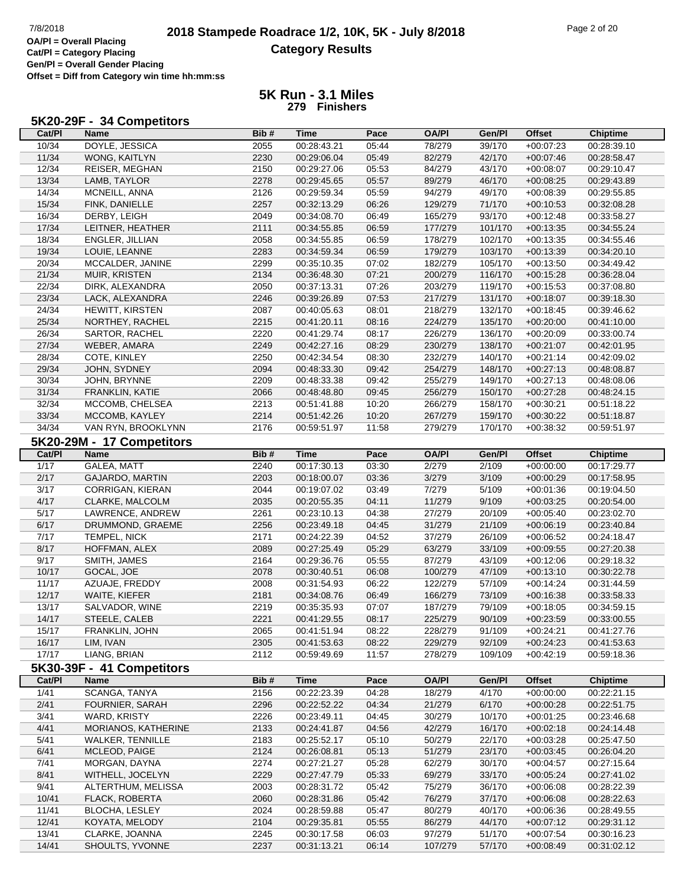# **2018 Stampede Roadrace 1/2, 10K, 5K - July 8/2018** 7/8/2018 Page 2 of 20 **Category Results**

**Cat/Pl = Category Placing Gen/Pl = Overall Gender Placing Offset = Diff from Category win time hh:mm:ss**

| 5K20-29F - 34 Competitors |
|---------------------------|
|---------------------------|

| Cat/PI | Name                      | Bib# | <b>Time</b>                | Pace  | <b>OA/PI</b> | Gen/Pl  | <b>Offset</b>              | <b>Chiptime</b>            |
|--------|---------------------------|------|----------------------------|-------|--------------|---------|----------------------------|----------------------------|
| 10/34  | DOYLE, JESSICA            | 2055 | 00:28:43.21                | 05:44 | 78/279       | 39/170  | $+00:07:23$                | 00:28:39.10                |
| 11/34  | WONG, KAITLYN             | 2230 | 00:29:06.04                | 05:49 | 82/279       | 42/170  | $+00:07:46$                | 00:28:58.47                |
| 12/34  | REISER, MEGHAN            | 2150 | 00:29:27.06                | 05:53 | 84/279       | 43/170  | $+00:08:07$                | 00:29:10.47                |
| 13/34  | LAMB, TAYLOR              | 2278 | 00:29:45.65                | 05:57 | 89/279       | 46/170  | $+00:08:25$                | 00:29:43.89                |
| 14/34  | MCNEILL, ANNA             | 2126 | 00:29:59.34                | 05:59 | 94/279       | 49/170  | $+00:08:39$                | 00:29:55.85                |
| 15/34  | FINK, DANIELLE            | 2257 | 00:32:13.29                | 06:26 | 129/279      | 71/170  | $+00:10:53$                | 00:32:08.28                |
| 16/34  | DERBY, LEIGH              | 2049 | 00:34:08.70                | 06:49 | 165/279      | 93/170  | $+00:12:48$                | 00:33:58.27                |
| 17/34  | LEITNER, HEATHER          | 2111 | 00:34:55.85                | 06:59 | 177/279      | 101/170 | $+00:13:35$                | 00:34:55.24                |
| 18/34  | <b>ENGLER, JILLIAN</b>    | 2058 | 00:34:55.85                | 06:59 | 178/279      | 102/170 | $+00:13:35$                | 00:34:55.46                |
| 19/34  | LOUIE, LEANNE             | 2283 | 00:34:59.34                | 06:59 | 179/279      | 103/170 | $+00:13:39$                | 00:34:20.10                |
| 20/34  | MCCALDER, JANINE          | 2299 | 00:35:10.35                | 07:02 | 182/279      | 105/170 | $+00:13:50$                | 00:34:49.42                |
| 21/34  | <b>MUIR, KRISTEN</b>      | 2134 | 00:36:48.30                | 07:21 | 200/279      | 116/170 | $+00:15:28$                | 00:36:28.04                |
| 22/34  | DIRK, ALEXANDRA           | 2050 | 00:37:13.31                | 07:26 | 203/279      | 119/170 | $+00:15:53$                | 00:37:08.80                |
| 23/34  | LACK, ALEXANDRA           | 2246 | 00:39:26.89                | 07:53 | 217/279      | 131/170 | $+00:18:07$                | 00:39:18.30                |
| 24/34  | <b>HEWITT, KIRSTEN</b>    | 2087 | 00:40:05.63                | 08:01 | 218/279      | 132/170 | $+00:18:45$                | 00:39:46.62                |
| 25/34  | NORTHEY, RACHEL           | 2215 | 00:41:20.11                | 08:16 | 224/279      | 135/170 | $+00:20:00$                | 00:41:10.00                |
| 26/34  | SARTOR, RACHEL            | 2220 | 00:41:29.74                | 08:17 | 226/279      | 136/170 | $+00:20:09$                | 00:33:00.74                |
| 27/34  | WEBER, AMARA              | 2249 | 00:42:27.16                | 08:29 | 230/279      | 138/170 | $+00:21:07$                | 00:42:01.95                |
| 28/34  | COTE, KINLEY              | 2250 | 00:42:34.54                | 08:30 | 232/279      | 140/170 | $+00:21:14$                | 00:42:09.02                |
| 29/34  | JOHN, SYDNEY              | 2094 | 00:48:33.30                | 09:42 | 254/279      | 148/170 | $+00:27:13$                | 00:48:08.87                |
|        |                           | 2209 |                            |       |              | 149/170 | $+00:27:13$                |                            |
| 30/34  | JOHN, BRYNNE              |      | 00:48:33.38                | 09:42 | 255/279      | 150/170 |                            | 00:48:08.06                |
| 31/34  | <b>FRANKLIN, KATIE</b>    | 2066 | 00:48:48.80                | 09:45 | 256/279      |         | $+00:27:28$                | 00:48:24.15                |
| 32/34  | MCCOMB, CHELSEA           | 2213 | 00:51:41.88                | 10:20 | 266/279      | 158/170 | $+00:30:21$                | 00:51:18.22                |
| 33/34  | MCCOMB, KAYLEY            | 2214 | 00:51:42.26                | 10:20 | 267/279      | 159/170 | $+00:30:22$                | 00:51:18.87                |
| 34/34  | VAN RYN, BROOKLYNN        | 2176 | 00:59:51.97                | 11:58 | 279/279      | 170/170 | $+00.38.32$                | 00:59:51.97                |
|        | 5K20-29M - 17 Competitors |      |                            |       |              |         |                            |                            |
| Cat/PI | Name                      | Bib# | <b>Time</b>                | Pace  | <b>OA/PI</b> | Gen/Pl  | <b>Offset</b>              | <b>Chiptime</b>            |
| 1/17   | GALEA, MATT               | 2240 | 00:17:30.13                | 03:30 | 2/279        | 2/109   | $+00:00:00$                | 00:17:29.77                |
| 2/17   | GAJARDO, MARTIN           | 2203 | 00:18:00.07                | 03:36 | 3/279        | 3/109   | $+00:00:29$                | 00:17:58.95                |
| 3/17   | <b>CORRIGAN, KIERAN</b>   | 2044 | 00:19:07.02                | 03:49 | 7/279        | 5/109   | $+00:01:36$                | 00:19:04.50                |
| 4/17   | CLARKE, MALCOLM           | 2035 | 00:20:55.35                | 04:11 | 11/279       | 9/109   | $+00:03:25$                | 00:20:54.00                |
| 5/17   | LAWRENCE, ANDREW          | 2261 | 00:23:10.13                | 04:38 | 27/279       | 20/109  | $+00:05:40$                | 00:23:02.70                |
| 6/17   | DRUMMOND, GRAEME          | 2256 | 00:23:49.18                | 04:45 | 31/279       | 21/109  | $+00:06:19$                | 00:23:40.84                |
| 7/17   | TEMPEL, NICK              | 2171 | 00:24:22.39                | 04:52 | 37/279       | 26/109  | $+00:06:52$                | 00:24:18.47                |
| 8/17   | HOFFMAN, ALEX             | 2089 | 00:27:25.49                | 05:29 | 63/279       | 33/109  | $+00:09:55$                | 00:27:20.38                |
| 9/17   | SMITH, JAMES              | 2164 | 00:29:36.76                | 05:55 | 87/279       | 43/109  | $+00:12:06$                | 00:29:18.32                |
| 10/17  | GOCAL, JOE                | 2078 | 00:30:40.51                | 06:08 | 100/279      | 47/109  | $+00:13:10$                | 00:30:22.78                |
| 11/17  | AZUAJE, FREDDY            | 2008 | 00:31:54.93                | 06:22 | 122/279      | 57/109  | $+00:14:24$                | 00:31:44.59                |
| 12/17  | WAITE, KIEFER             | 2181 | 00:34:08.76                | 06:49 | 166/279      | 73/109  | $+00:16:38$                | 00:33:58.33                |
| 13/17  | SALVADOR, WINE            | 2219 | 00:35:35.93                | 07:07 | 187/279      | 79/109  | $+00:18:05$                | 00:34:59.15                |
| 14/17  | STEELE, CALEB             | 2221 | 00:41:29.55                | 08:17 | 225/279      | 90/109  | $+00:23:59$                | 00:33:00.55                |
| 15/17  | FRANKLIN, JOHN            | 2065 | 00:41:51.94                | 08:22 | 228/279      | 91/109  | $+00:24:21$                | 00:41:27.76                |
| 16/17  | LIM, IVAN                 | 2305 | 00:41:53.63                | 08:22 | 229/279      | 92/109  | $+00:24:23$                | 00:41:53.63                |
| 17/17  | LIANG, BRIAN              | 2112 | 00:59:49.69                | 11:57 | 278/279      | 109/109 | $+00:42:19$                | 00:59:18.36                |
|        | 5K30-39F - 41 Competitors |      |                            |       |              |         |                            |                            |
| Cat/PI | Name                      | Bib# | <b>Time</b>                | Pace  | <b>OA/PI</b> | Gen/PI  | <b>Offset</b>              | <b>Chiptime</b>            |
| 1/41   | SCANGA, TANYA             | 2156 | 00:22:23.39                | 04:28 | 18/279       | 4/170   | $+00:00:00$                | 00:22:21.15                |
| 2/41   | FOURNIER, SARAH           | 2296 |                            | 04:34 | 21/279       | 6/170   | $+00:00:28$                |                            |
| 3/41   | WARD, KRISTY              | 2226 | 00:22:52.22<br>00:23:49.11 | 04:45 | 30/279       | 10/170  |                            | 00:22:51.75<br>00:23:46.68 |
| 4/41   | MORIANOS, KATHERINE       | 2133 | 00:24:41.87                | 04:56 | 42/279       | 16/170  | $+00:01:25$<br>$+00:02:18$ | 00:24:14.48                |
|        |                           |      |                            |       |              |         |                            |                            |
| 5/41   | <b>WALKER, TENNILLE</b>   | 2183 | 00:25:52.17                | 05:10 | 50/279       | 22/170  | $+00:03:28$                | 00:25:47.50                |
| 6/41   | MCLEOD, PAIGE             | 2124 | 00:26:08.81                | 05:13 | 51/279       | 23/170  | $+00:03:45$                | 00:26:04.20                |
| 7/41   | MORGAN, DAYNA             | 2274 | 00:27:21.27                | 05:28 | 62/279       | 30/170  | $+00:04:57$                | 00:27:15.64                |
| 8/41   | WITHELL, JOCELYN          | 2229 | 00:27:47.79                | 05:33 | 69/279       | 33/170  | $+00:05:24$                | 00:27:41.02                |
| 9/41   | ALTERTHUM, MELISSA        | 2003 | 00:28:31.72                | 05:42 | 75/279       | 36/170  | $+00:06:08$                | 00:28:22.39                |
| 10/41  | <b>FLACK, ROBERTA</b>     | 2060 | 00:28:31.86                | 05:42 | 76/279       | 37/170  | $+00:06:08$                | 00:28:22.63                |
| 11/41  | <b>BLOCHA, LESLEY</b>     | 2024 | 00:28:59.88                | 05:47 | 80/279       | 40/170  | $+00:06:36$                | 00:28:49.55                |
| 12/41  | KOYATA, MELODY            | 2104 | 00:29:35.81                | 05:55 | 86/279       | 44/170  | $+00:07:12$                | 00:29:31.12                |
| 13/41  | CLARKE, JOANNA            | 2245 | 00:30:17.58                | 06:03 | 97/279       | 51/170  | $+00:07:54$                | 00:30:16.23                |
| 14/41  | SHOULTS, YVONNE           | 2237 | 00:31:13.21                | 06:14 | 107/279      | 57/170  | $+00:08:49$                | 00:31:02.12                |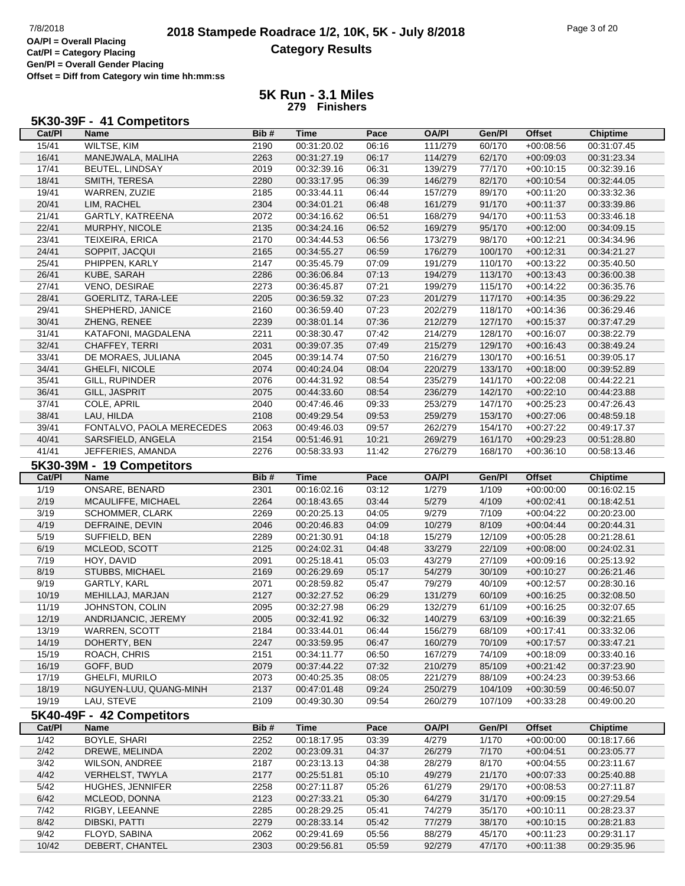**Cat/Pl = Category Placing Gen/Pl = Overall Gender Placing Offset = Diff from Category win time hh:mm:ss**

### **5K Run - 3.1 Miles 279 Finishers**

#### **5K30-39F - 41 Competitors**

| Cat/PI            | Name                      | Bib# | <b>Time</b> | Pace  | <b>OA/PI</b> | Gen/Pl  | <b>Offset</b> | <b>Chiptime</b> |
|-------------------|---------------------------|------|-------------|-------|--------------|---------|---------------|-----------------|
| 15/41             | <b>WILTSE, KIM</b>        | 2190 | 00:31:20.02 | 06:16 | 111/279      | 60/170  | $+00:08:56$   | 00:31:07.45     |
| 16/41             | MANEJWALA, MALIHA         | 2263 | 00:31:27.19 | 06:17 | 114/279      | 62/170  | $+00:09:03$   | 00:31:23.34     |
| 17/41             | BEUTEL, LINDSAY           | 2019 | 00:32:39.16 | 06:31 | 139/279      | 77/170  | $+00:10:15$   | 00:32:39.16     |
| 18/41             | SMITH, TERESA             | 2280 | 00:33:17.95 | 06:39 | 146/279      | 82/170  | $+00:10:54$   | 00:32:44.05     |
| 19/41             | WARREN, ZUZIE             | 2185 | 00:33:44.11 | 06:44 | 157/279      | 89/170  | $+00:11:20$   | 00:33:32.36     |
| 20/41             | LIM, RACHEL               | 2304 | 00:34:01.21 | 06:48 | 161/279      | 91/170  | $+00:11:37$   | 00:33:39.86     |
| 21/41             | GARTLY, KATREENA          | 2072 | 00:34:16.62 | 06:51 | 168/279      | 94/170  | $+00:11:53$   | 00:33:46.18     |
| 22/41             | MURPHY, NICOLE            | 2135 | 00:34:24.16 | 06:52 | 169/279      | 95/170  | $+00:12:00$   | 00:34:09.15     |
| 23/41             |                           | 2170 |             |       |              | 98/170  |               |                 |
|                   | TEIXEIRA, ERICA           |      | 00:34:44.53 | 06:56 | 173/279      |         | $+00:12:21$   | 00:34:34.96     |
| 24/41             | SOPPIT, JACQUI            | 2165 | 00:34:55.27 | 06:59 | 176/279      | 100/170 | $+00:12:31$   | 00:34:21.27     |
| 25/41             | PHIPPEN, KARLY            | 2147 | 00:35:45.79 | 07:09 | 191/279      | 110/170 | $+00:13:22$   | 00:35:40.50     |
| 26/41             | KUBE, SARAH               | 2286 | 00:36:06.84 | 07:13 | 194/279      | 113/170 | $+00:13:43$   | 00:36:00.38     |
| 27/41             | VENO, DESIRAE             | 2273 | 00:36:45.87 | 07:21 | 199/279      | 115/170 | $+00:14:22$   | 00:36:35.76     |
| 28/41             | GOERLITZ, TARA-LEE        | 2205 | 00:36:59.32 | 07:23 | 201/279      | 117/170 | $+00:14:35$   | 00:36:29.22     |
| 29/41             | SHEPHERD, JANICE          | 2160 | 00:36:59.40 | 07:23 | 202/279      | 118/170 | $+00:14:36$   | 00:36:29.46     |
| 30/41             | ZHENG, RENEE              | 2239 | 00:38:01.14 | 07:36 | 212/279      | 127/170 | $+00:15:37$   | 00:37:47.29     |
| 31/41             | KATAFONI, MAGDALENA       | 2211 | 00:38:30.47 | 07:42 | 214/279      | 128/170 | $+00:16:07$   | 00:38:22.79     |
| 32/41             | CHAFFEY, TERRI            | 2031 | 00:39:07.35 | 07:49 | 215/279      | 129/170 | $+00:16:43$   | 00:38:49.24     |
| 33/41             | DE MORAES, JULIANA        | 2045 | 00:39:14.74 | 07:50 | 216/279      | 130/170 | $+00:16:51$   | 00:39:05.17     |
| 34/41             | GHELFI, NICOLE            | 2074 | 00:40:24.04 | 08:04 | 220/279      | 133/170 | $+00:18:00$   | 00:39:52.89     |
| 35/41             | GILL, RUPINDER            | 2076 | 00:44:31.92 | 08:54 | 235/279      | 141/170 | $+00:22:08$   | 00:44:22.21     |
| 36/41             | GILL, JASPRIT             | 2075 | 00:44:33.60 | 08:54 | 236/279      | 142/170 | $+00:22:10$   | 00:44:23.88     |
| 37/41             | COLE, APRIL               | 2040 | 00:47:46.46 | 09:33 | 253/279      | 147/170 | $+00:25:23$   | 00:47:26.43     |
| 38/41             | LAU, HILDA                | 2108 | 00:49:29.54 | 09:53 | 259/279      | 153/170 | $+00:27:06$   | 00:48:59.18     |
| 39/41             | FONTALVO, PAOLA MERECEDES | 2063 | 00:49:46.03 | 09:57 | 262/279      | 154/170 | $+00:27:22$   | 00:49:17.37     |
|                   |                           |      | 00:51:46.91 |       |              |         | $+00:29:23$   |                 |
| 40/41             | SARSFIELD, ANGELA         | 2154 |             | 10:21 | 269/279      | 161/170 |               | 00:51:28.80     |
| 41/41             | JEFFERIES, AMANDA         | 2276 | 00:58:33.93 | 11:42 | 276/279      | 168/170 | $+00:36:10$   | 00:58:13.46     |
|                   | 5K30-39M - 19 Competitors |      |             |       |              |         |               |                 |
| Cat/PI            | <b>Name</b>               | Bib# | <b>Time</b> | Pace  | <b>OA/PI</b> | Gen/Pl  | <b>Offset</b> | <b>Chiptime</b> |
| 1/19              | ONSARE, BENARD            | 2301 | 00:16:02.16 | 03:12 | 1/279        | 1/109   | $+00:00:00$   | 00:16:02.15     |
| 2/19              | MCAULIFFE, MICHAEL        | 2264 | 00:18:43.65 | 03:44 | 5/279        | 4/109   | $+00:02:41$   | 00:18:42.51     |
| 3/19              | SCHOMMER, CLARK           | 2269 | 00:20:25.13 | 04:05 | 9/279        | 7/109   | $+00:04:22$   | 00:20:23.00     |
| 4/19              | DEFRAINE, DEVIN           | 2046 | 00:20:46.83 | 04:09 | 10/279       | 8/109   | $+00:04:44$   | 00:20:44.31     |
| 5/19              | SUFFIELD, BEN             | 2289 | 00:21:30.91 | 04:18 | 15/279       | 12/109  | $+00:05:28$   | 00:21:28.61     |
| 6/19              | MCLEOD, SCOTT             | 2125 | 00:24:02.31 | 04:48 | 33/279       | 22/109  | $+00:08:00$   | 00:24:02.31     |
| 7/19              | HOY, DAVID                | 2091 | 00:25:18.41 | 05:03 | 43/279       | 27/109  | $+00:09:16$   | 00:25:13.92     |
| 8/19              | STUBBS, MICHAEL           | 2169 | 00:26:29.69 | 05:17 | 54/279       | 30/109  | $+00:10:27$   | 00:26:21.46     |
| 9/19              | GARTLY, KARL              | 2071 | 00:28:59.82 | 05:47 | 79/279       | 40/109  | $+00:12:57$   | 00:28:30.16     |
| 10/19             | MEHILLAJ, MARJAN          | 2127 | 00:32:27.52 | 06:29 | 131/279      | 60/109  | $+00:16:25$   | 00:32:08.50     |
| 11/19             | JOHNSTON, COLIN           | 2095 | 00:32:27.98 | 06:29 | 132/279      | 61/109  | $+00:16:25$   | 00:32:07.65     |
| 12/19             |                           | 2005 | 00:32:41.92 |       |              | 63/109  |               | 00:32:21.65     |
|                   | ANDRIJANCIC, JEREMY       |      |             | 06:32 | 140/279      |         | $+00:16:39$   |                 |
| 13/19             | <b>WARREN, SCOTT</b>      | 2184 | 00:33:44.01 | 06:44 | 156/279      | 68/109  | $+00:17:41$   | 00:33:32.06     |
| 14/19             | DOHERTY, BEN              | 2247 | 00:33:59.95 | 06:47 | 160/279      | 70/109  | $+00:17:57$   | 00:33:47.21     |
| 15/19             | ROACH, CHRIS              | 2151 | 00:34:11.77 | 06:50 | 167/279      | 74/109  | $+00:18:09$   | 00:33:40.16     |
| 16/19             | GOFF, BUD                 | 2079 | 00:37:44.22 | 07:32 | 210/279      | 85/109  | $+00:21:42$   | 00:37:23.90     |
| 17/19             | GHELFI, MURILO            | 2073 | 00:40:25.35 | 08:05 | 221/279      | 88/109  | $+00:24:23$   | 00:39:53.66     |
| 18/19             | NGUYEN-LUU, QUANG-MINH    | 2137 | 00:47:01.48 | 09:24 | 250/279      | 104/109 | $+00:30:59$   | 00:46:50.07     |
| 19/19             | LAU, STEVE                | 2109 | 00:49:30.30 | 09:54 | 260/279      | 107/109 | $+00:33:28$   | 00:49:00.20     |
|                   | 5K40-49F - 42 Competitors |      |             |       |              |         |               |                 |
| Cat/PI            | Name                      | Bib# | <b>Time</b> | Pace  | <b>OA/PI</b> | Gen/Pl  | <b>Offset</b> | <b>Chiptime</b> |
| $\frac{1}{42}$    | <b>BOYLE, SHARI</b>       | 2252 | 00:18:17.95 | 03:39 | 4/279        | 1/170   | $+00:00:00$   | 00:18:17.66     |
| 2/42              | DREWE, MELINDA            | 2202 | 00:23:09.31 | 04:37 | 26/279       | 7/170   | $+00:04:51$   | 00:23:05.77     |
|                   |                           |      |             |       |              |         |               |                 |
| 3/42              | <b>WILSON, ANDREE</b>     | 2187 | 00:23:13.13 | 04:38 | 28/279       | 8/170   | $+00:04:55$   | 00:23:11.67     |
| 4/42              | VERHELST, TWYLA           | 2177 | 00:25:51.81 | 05:10 | 49/279       | 21/170  | $+00:07:33$   | 00:25:40.88     |
| $\overline{5/42}$ | HUGHES, JENNIFER          | 2258 | 00:27:11.87 | 05:26 | 61/279       | 29/170  | $+00:08:53$   | 00:27:11.87     |
| 6/42              | MCLEOD, DONNA             | 2123 | 00:27:33.21 | 05:30 | 64/279       | 31/170  | $+00:09:15$   | 00:27:29.54     |
| 7/42              | RIGBY, LEEANNE            | 2285 | 00:28:29.25 | 05:41 | 74/279       | 35/170  | $+00:10:11$   | 00:28:23.37     |
| 8/42              | DIBSKI, PATTI             | 2279 | 00:28:33.14 | 05:42 | 77/279       | 38/170  | $+00:10:15$   | 00:28:21.83     |

9/42 FLOYD, SABINA 2062 00:29:41.69 05:56 88/279 45/170 +00:11:23 00:29:31.17 10/42 DEBERT, CHANTEL 2303 00:29:56.81 05:59 92/279 47/170 +00:11:38 00:29:35.96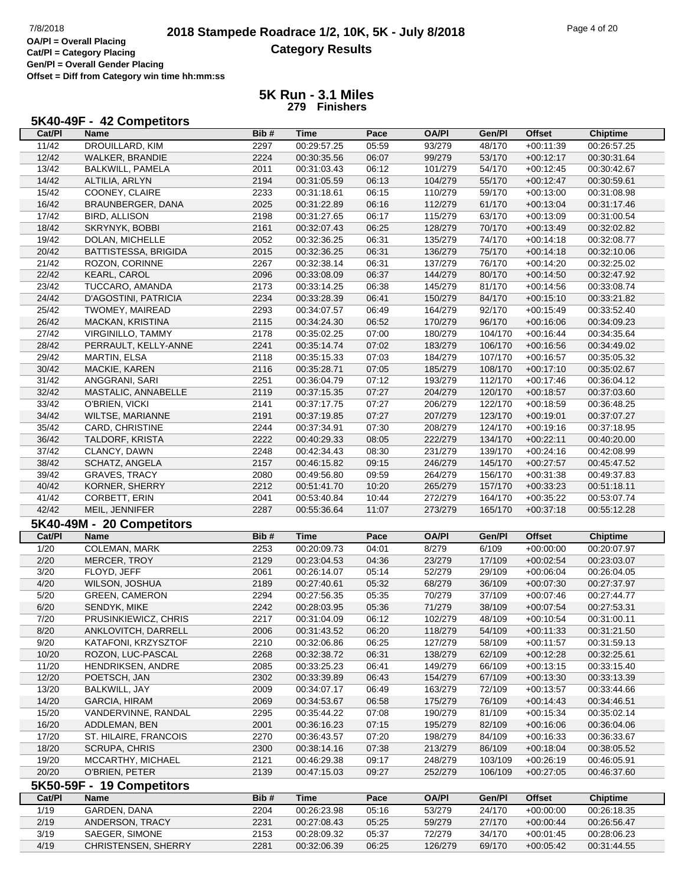# **2018 Stampede Roadrace 1/2, 10K, 5K - July 8/2018** Page 4 of 20<br> **DAPI** = Overall Placing **2018 Stampede Roadrace 1/2, 10K, 5K - July 8/2018 Category Results**

**Cat/Pl = Category Placing Gen/Pl = Overall Gender Placing Offset = Diff from Category win time hh:mm:ss**

| Cat/PI | Name                      | Bib# | Time        | Pace  | <b>OA/PI</b> | Gen/Pl  | <b>Offset</b> | <b>Chiptime</b> |
|--------|---------------------------|------|-------------|-------|--------------|---------|---------------|-----------------|
| 11/42  | DROUILLARD, KIM           | 2297 | 00:29:57.25 | 05:59 | 93/279       | 48/170  | $+00:11:39$   | 00:26:57.25     |
| 12/42  | WALKER, BRANDIE           | 2224 | 00:30:35.56 | 06:07 | 99/279       | 53/170  | $+00:12:17$   | 00:30:31.64     |
| 13/42  | BALKWILL, PAMELA          | 2011 | 00:31:03.43 | 06:12 | 101/279      | 54/170  | $+00:12:45$   | 00:30:42.67     |
| 14/42  | ALTILIA, ARLYN            | 2194 | 00:31:05.59 | 06:13 | 104/279      | 55/170  | $+00:12:47$   | 00:30:59.61     |
| 15/42  | COONEY, CLAIRE            | 2233 | 00:31:18.61 | 06:15 | 110/279      | 59/170  | $+00:13:00$   | 00:31:08.98     |
| 16/42  | BRAUNBERGER, DANA         | 2025 | 00:31:22.89 | 06:16 | 112/279      | 61/170  | $+00:13:04$   | 00:31:17.46     |
| 17/42  | <b>BIRD, ALLISON</b>      | 2198 | 00:31:27.65 | 06:17 | 115/279      | 63/170  | $+00:13:09$   | 00:31:00.54     |
| 18/42  | SKRYNYK, BOBBI            | 2161 | 00:32:07.43 | 06:25 | 128/279      | 70/170  | $+00:13:49$   | 00:32:02.82     |
| 19/42  | DOLAN, MICHELLE           | 2052 | 00:32:36.25 | 06:31 | 135/279      | 74/170  | $+00:14:18$   | 00:32:08.77     |
| 20/42  | BATTISTESSA, BRIGIDA      | 2015 | 00:32:36.25 | 06:31 | 136/279      | 75/170  | $+00:14:18$   | 00:32:10.06     |
| 21/42  | ROZON, CORINNE            | 2267 | 00:32:38.14 | 06:31 | 137/279      | 76/170  | $+00:14:20$   | 00:32:25.02     |
| 22/42  | KEARL, CAROL              | 2096 | 00:33:08.09 | 06:37 | 144/279      | 80/170  | $+00:14:50$   | 00:32:47.92     |
| 23/42  | TUCCARO, AMANDA           | 2173 | 00:33:14.25 | 06:38 | 145/279      | 81/170  | $+00:14:56$   | 00:33:08.74     |
| 24/42  | D'AGOSTINI, PATRICIA      | 2234 | 00:33:28.39 | 06:41 | 150/279      | 84/170  | $+00:15:10$   | 00:33:21.82     |
| 25/42  | <b>TWOMEY, MAIREAD</b>    | 2293 | 00:34:07.57 | 06:49 | 164/279      | 92/170  | $+00:15:49$   | 00:33:52.40     |
| 26/42  | MACKAN, KRISTINA          | 2115 | 00:34:24.30 | 06:52 | 170/279      | 96/170  | $+00:16:06$   | 00:34:09.23     |
| 27/42  | <b>VIRGINILLO, TAMMY</b>  | 2178 | 00:35:02.25 | 07:00 | 180/279      | 104/170 | $+00:16:44$   | 00:34:35.64     |
| 28/42  | PERRAULT, KELLY-ANNE      | 2241 | 00:35:14.74 | 07:02 | 183/279      | 106/170 | $+00:16:56$   | 00:34:49.02     |
| 29/42  | <b>MARTIN, ELSA</b>       | 2118 | 00:35:15.33 | 07:03 | 184/279      | 107/170 | $+00:16:57$   | 00:35:05.32     |
| 30/42  | MACKIE, KAREN             | 2116 | 00:35:28.71 | 07:05 | 185/279      | 108/170 | $+00:17:10$   | 00:35:02.67     |
| 31/42  | ANGGRANI, SARI            | 2251 | 00:36:04.79 | 07:12 | 193/279      | 112/170 | $+00:17:46$   | 00:36:04.12     |
| 32/42  | MASTALIC, ANNABELLE       | 2119 | 00:37:15.35 | 07:27 | 204/279      | 120/170 | $+00:18:57$   | 00:37:03.60     |
| 33/42  | O'BRIEN, VICKI            | 2141 | 00:37:17.75 | 07:27 | 206/279      | 122/170 | $+00:18:59$   | 00:36:48.25     |
| 34/42  | WILTSE, MARIANNE          | 2191 | 00:37:19.85 | 07:27 | 207/279      | 123/170 | $+00:19:01$   | 00:37:07.27     |
| 35/42  | CARD, CHRISTINE           | 2244 | 00:37:34.91 | 07:30 | 208/279      | 124/170 | $+00:19:16$   | 00:37:18.95     |
| 36/42  | TALDORF, KRISTA           | 2222 | 00:40:29.33 | 08:05 | 222/279      | 134/170 | $+00:22:11$   | 00:40:20.00     |
| 37/42  | CLANCY, DAWN              | 2248 | 00:42:34.43 | 08:30 | 231/279      | 139/170 | $+00:24:16$   | 00:42:08.99     |
| 38/42  | SCHATZ, ANGELA            | 2157 | 00:46:15.82 | 09:15 | 246/279      | 145/170 | $+00:27:57$   | 00:45:47.52     |
| 39/42  | <b>GRAVES, TRACY</b>      | 2080 | 00:49:56.80 | 09:59 | 264/279      | 156/170 | $+00:31:38$   | 00:49:37.83     |
| 40/42  | KORNER, SHERRY            | 2212 | 00:51:41.70 | 10:20 | 265/279      | 157/170 | $+00:33:23$   | 00:51:18.11     |
| 41/42  | CORBETT, ERIN             | 2041 | 00:53:40.84 | 10:44 | 272/279      | 164/170 | $+00:35:22$   | 00:53:07.74     |
| 42/42  | MEIL, JENNIFER            | 2287 | 00:55:36.64 | 11:07 | 273/279      | 165/170 | $+00:37:18$   | 00:55:12.28     |
|        | 5K40-49M - 20 Competitors |      |             |       |              |         |               |                 |
| Cat/PI | <b>Name</b>               | Bib# | <b>Time</b> | Pace  | <b>OA/PI</b> | Gen/Pl  | <b>Offset</b> | <b>Chiptime</b> |
| 1/20   | <b>COLEMAN, MARK</b>      | 2253 | 00:20:09.73 | 04:01 | 8/279        | 6/109   | $+00:00:00$   | 00:20:07.97     |
| 2/20   | MERCER, TROY              | 2129 | 00:23:04.53 | 04:36 | 23/279       | 17/109  | $+00:02:54$   | 00:23:03.07     |
| 3/20   | FLOYD, JEFF               | 2061 | 00:26:14.07 | 05:14 | 52/279       | 29/109  | $+00:06:04$   | 00:26:04.05     |
| 4/20   | WILSON, JOSHUA            | 2189 | 00:27:40.61 | 05:32 | 68/279       | 36/109  | $+00:07:30$   | 00:27:37.97     |
| 5/20   | <b>GREEN, CAMERON</b>     | 2294 | 00:27:56.35 | 05:35 | 70/279       | 37/109  | $+00:07:46$   | 00:27:44.77     |
| 6/20   | SENDYK, MIKE              | 2242 | 00:28:03.95 | 05:36 | 71/279       | 38/109  | $+00:07:54$   | 00:27:53.31     |
| 7/20   | PRUSINKIEWICZ, CHRIS      | 2217 | 00:31:04.09 | 06:12 | 102/279      | 48/109  | $+00.10.54$   | 00:31:00.11     |
| 8/20   | ANKLOVITCH, DARRELL       | 2006 | 00:31:43.52 | 06:20 | 118/279      | 54/109  | $+00:11:33$   | 00:31:21.50     |
| 9/20   | KATAFONI, KRZYSZTOF       | 2210 | 00:32:06.86 | 06:25 | 127/279      | 58/109  | +00:11:57     | 00:31:59.13     |
| 10/20  | ROZON, LUC-PASCAL         | 2268 | 00:32:38.72 | 06:31 | 138/279      | 62/109  | $+00.12.28$   | 00:32:25.61     |
| 11/20  | HENDRIKSEN, ANDRE         | 2085 | 00:33:25.23 | 06:41 | 149/279      | 66/109  | $+00:13:15$   | 00:33:15.40     |
| 12/20  | POETSCH, JAN              | 2302 | 00:33:39.89 | 06:43 | 154/279      | 67/109  | $+00:13:30$   | 00:33:13.39     |
| 13/20  | BALKWILL, JAY             | 2009 | 00:34:07.17 | 06:49 | 163/279      | 72/109  | +00:13:57     | 00:33:44.66     |
| 14/20  | <b>GARCIA, HIRAM</b>      | 2069 | 00:34:53.67 | 06:58 | 175/279      | 76/109  | $+00:14:43$   | 00:34:46.51     |
| 15/20  | VANDERVINNE, RANDAL       | 2295 | 00:35:44.22 | 07:08 | 190/279      | 81/109  | $+00:15:34$   | 00:35:02.14     |
| 16/20  | ADDLEMAN, BEN             | 2001 | 00:36:16.23 | 07:15 | 195/279      | 82/109  | $+00:16:06$   | 00:36:04.06     |
| 17/20  | ST. HILAIRE, FRANCOIS     | 2270 | 00:36:43.57 | 07:20 | 198/279      | 84/109  | +00:16:33     | 00:36:33.67     |
| 18/20  | <b>SCRUPA, CHRIS</b>      | 2300 | 00:38:14.16 | 07:38 | 213/279      | 86/109  | $+00:18:04$   | 00:38:05.52     |
| 19/20  | MCCARTHY, MICHAEL         | 2121 | 00:46:29.38 | 09:17 | 248/279      | 103/109 | $+00:26:19$   | 00:46:05.91     |
| 20/20  | O'BRIEN, PETER            | 2139 | 00:47:15.03 | 09:27 | 252/279      | 106/109 | $+00:27:05$   | 00:46:37.60     |
|        | 5K50-59F - 19 Competitors |      |             |       |              |         |               |                 |
| Cat/PI | <b>Name</b>               | Bib# | <b>Time</b> | Pace  | <b>OA/PI</b> | Gen/Pl  | <b>Offset</b> | <b>Chiptime</b> |
| 1/19   | GARDEN, DANA              | 2204 | 00:26:23.98 | 05:16 | 53/279       | 24/170  | $+00:00:00$   | 00:26:18.35     |
| 2/19   | ANDERSON, TRACY           | 2231 | 00:27:08.43 | 05:25 | 59/279       | 27/170  | $+00:00:44$   | 00:26:56.47     |
| 3/19   | SAEGER, SIMONE            | 2153 | 00:28:09.32 | 05:37 | 72/279       | 34/170  | $+00:01:45$   | 00:28:06.23     |
| 4/19   | CHRISTENSEN, SHERRY       | 2281 | 00:32:06.39 | 06:25 | 126/279      | 69/170  | $+00:05:42$   | 00:31:44.55     |
|        |                           |      |             |       |              |         |               |                 |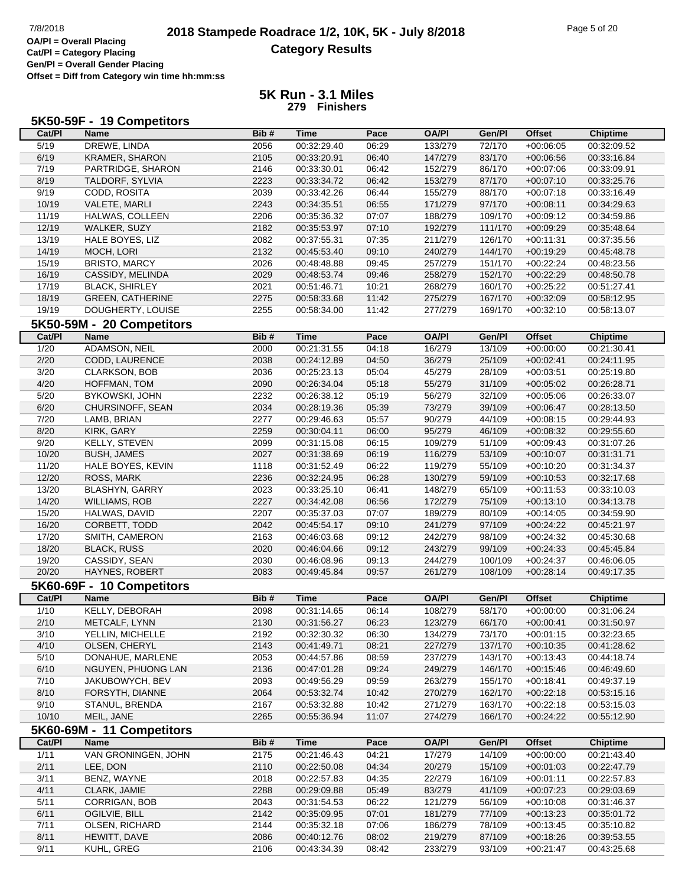# **2018 Stampede Roadrace 1/2, 10K, 5K - July 8/2018** 7/8/2018 Page 5 of 20 **Category Results**

**Cat/Pl = Category Placing Gen/Pl = Overall Gender Placing Offset = Diff from Category win time hh:mm:ss**

| 5K50-59F - 19 Competitors |  |  |
|---------------------------|--|--|
|                           |  |  |

| Cat/PI | Name                      | Bib# | <b>Time</b> | Pace  | <b>OA/PI</b> | Gen/Pl  | <b>Offset</b> | <b>Chiptime</b> |
|--------|---------------------------|------|-------------|-------|--------------|---------|---------------|-----------------|
| 5/19   | DREWE, LINDA              | 2056 | 00:32:29.40 | 06:29 | 133/279      | 72/170  | $+00:06:05$   | 00:32:09.52     |
| 6/19   | KRAMER, SHARON            | 2105 | 00:33:20.91 | 06:40 | 147/279      | 83/170  | $+00:06:56$   | 00:33:16.84     |
| 7/19   | PARTRIDGE, SHARON         | 2146 | 00:33:30.01 | 06:42 | 152/279      | 86/170  | $+00:07:06$   | 00:33:09.91     |
| 8/19   | TALDORF, SYLVIA           | 2223 | 00:33:34.72 | 06:42 | 153/279      | 87/170  | $+00:07:10$   | 00:33:25.76     |
| 9/19   | CODD, ROSITA              | 2039 | 00:33:42.26 | 06:44 | 155/279      | 88/170  | $+00:07:18$   | 00:33:16.49     |
| 10/19  | VALETE, MARLI             | 2243 | 00:34:35.51 | 06:55 | 171/279      | 97/170  | $+00:08:11$   | 00:34:29.63     |
| 11/19  | HALWAS, COLLEEN           | 2206 | 00:35:36.32 | 07:07 | 188/279      | 109/170 | $+00:09:12$   | 00:34:59.86     |
| 12/19  | WALKER, SUZY              | 2182 | 00:35:53.97 | 07:10 | 192/279      | 111/170 | $+00:09:29$   | 00:35:48.64     |
| 13/19  | HALE BOYES, LIZ           | 2082 | 00:37:55.31 | 07:35 | 211/279      | 126/170 | $+00:11:31$   | 00:37:35.56     |
| 14/19  | MOCH, LORI                | 2132 | 00:45:53.40 | 09:10 | 240/279      | 144/170 | $+00:19:29$   | 00:45:48.78     |
| 15/19  | <b>BRISTO, MARCY</b>      | 2026 | 00:48:48.88 | 09:45 | 257/279      | 151/170 | $+00:22:24$   | 00:48:23.56     |
| 16/19  | CASSIDY, MELINDA          | 2029 | 00:48:53.74 | 09:46 | 258/279      | 152/170 | $+00:22:29$   | 00:48:50.78     |
| 17/19  | <b>BLACK, SHIRLEY</b>     | 2021 | 00:51:46.71 | 10:21 | 268/279      | 160/170 | $+00:25:22$   | 00:51:27.41     |
| 18/19  | <b>GREEN, CATHERINE</b>   | 2275 | 00:58:33.68 | 11:42 | 275/279      | 167/170 | $+00:32:09$   | 00:58:12.95     |
| 19/19  | DOUGHERTY, LOUISE         | 2255 | 00:58:34.00 | 11:42 | 277/279      | 169/170 | $+00:32:10$   | 00:58:13.07     |
|        | 5K50-59M - 20 Competitors |      |             |       |              |         |               |                 |
| Cat/PI | <b>Name</b>               | Bib# |             |       | <b>OA/PI</b> |         | <b>Offset</b> | Chiptime        |
|        |                           |      | <b>Time</b> | Pace  |              | Gen/Pl  |               |                 |
| 1/20   | <b>ADAMSON, NEIL</b>      | 2000 | 00:21:31.55 | 04:18 | 16/279       | 13/109  | $+00:00:00$   | 00:21:30.41     |
| 2/20   | CODD, LAURENCE            | 2038 | 00:24:12.89 | 04:50 | 36/279       | 25/109  | $+00:02:41$   | 00:24:11.95     |
| 3/20   | CLARKSON, BOB             | 2036 | 00:25:23.13 | 05:04 | 45/279       | 28/109  | $+00:03:51$   | 00:25:19.80     |
| 4/20   | HOFFMAN, TOM              | 2090 | 00:26:34.04 | 05:18 | 55/279       | 31/109  | $+00:05:02$   | 00:26:28.71     |
| 5/20   | BYKOWSKI, JOHN            | 2232 | 00:26:38.12 | 05:19 | 56/279       | 32/109  | $+00:05:06$   | 00:26:33.07     |
| 6/20   | CHURSINOFF, SEAN          | 2034 | 00:28:19.36 | 05:39 | 73/279       | 39/109  | $+00:06:47$   | 00:28:13.50     |
| 7/20   | LAMB, BRIAN               | 2277 | 00:29:46.63 | 05:57 | 90/279       | 44/109  | $+00:08:15$   | 00:29:44.93     |
| 8/20   | KIRK, GARY                | 2259 | 00:30:04.11 | 06:00 | 95/279       | 46/109  | $+00:08:32$   | 00:29:55.60     |
| 9/20   | KELLY, STEVEN             | 2099 | 00:31:15.08 | 06:15 | 109/279      | 51/109  | $+00:09:43$   | 00:31:07.26     |
| 10/20  | <b>BUSH, JAMES</b>        | 2027 | 00:31:38.69 | 06:19 | 116/279      | 53/109  | $+00:10:07$   | 00:31:31.71     |
| 11/20  | HALE BOYES, KEVIN         | 1118 | 00:31:52.49 | 06:22 | 119/279      | 55/109  | $+00:10:20$   | 00:31:34.37     |
| 12/20  | ROSS, MARK                | 2236 | 00:32:24.95 | 06:28 | 130/279      | 59/109  | $+00:10:53$   | 00:32:17.68     |
| 13/20  | BLASHYN, GARRY            | 2023 | 00:33:25.10 | 06:41 | 148/279      | 65/109  | $+00:11:53$   | 00:33:10.03     |
| 14/20  | <b>WILLIAMS, ROB</b>      | 2227 | 00:34:42.08 | 06:56 | 172/279      | 75/109  | $+00:13:10$   | 00:34:13.78     |
| 15/20  | HALWAS, DAVID             | 2207 | 00:35:37.03 | 07:07 | 189/279      | 80/109  | $+00:14:05$   | 00:34:59.90     |
| 16/20  | CORBETT, TODD             | 2042 | 00:45:54.17 | 09:10 | 241/279      | 97/109  | $+00:24:22$   | 00:45:21.97     |
| 17/20  | SMITH, CAMERON            | 2163 | 00:46:03.68 | 09:12 | 242/279      | 98/109  | $+00:24:32$   | 00:45:30.68     |
| 18/20  | <b>BLACK, RUSS</b>        | 2020 | 00:46:04.66 | 09:12 | 243/279      | 99/109  | $+00:24:33$   | 00:45:45.84     |
| 19/20  | CASSIDY, SEAN             | 2030 | 00:46:08.96 | 09:13 | 244/279      | 100/109 | $+00:24:37$   | 00:46:06.05     |
| 20/20  | HAYNES, ROBERT            | 2083 | 00:49:45.84 | 09:57 | 261/279      | 108/109 | $+00:28:14$   | 00:49:17.35     |
|        | 5K60-69F - 10 Competitors |      |             |       |              |         |               |                 |
| Cat/PI | Name                      | Bib# | <b>Time</b> | Pace  | <b>OA/PI</b> | Gen/Pl  | <b>Offset</b> | <b>Chiptime</b> |
| 1/10   | KELLY, DEBORAH            | 2098 | 00:31:14.65 | 06:14 | 108/279      | 58/170  | $+00:00:00$   | 00:31:06.24     |
| 2/10   | METCALF, LYNN             | 2130 | 00:31:56.27 | 06:23 | 123/279      | 66/170  | $+00:00:41$   | 00:31:50.97     |
| 3/10   | YELLIN, MICHELLE          | 2192 | 00:32:30.32 | 06:30 | 134/279      | 73/170  | $+00:01:15$   | 00:32:23.65     |
| 4/10   | OLSEN, CHERYL             | 2143 | 00:41:49.71 | 08:21 | 227/279      | 137/170 | $+00:10:35$   | 00:41:28.62     |
| 5/10   | DONAHUE, MARLENE          | 2053 | 00:44:57.86 | 08:59 | 237/279      | 143/170 | $+00:13:43$   | 00:44:18.74     |
| 6/10   | NGUYEN, PHUONG LAN        | 2136 | 00:47:01.28 | 09:24 | 249/279      | 146/170 | $+00:15:46$   | 00:46:49.60     |
| 7/10   | JAKUBOWYCH, BEV           | 2093 | 00:49:56.29 | 09:59 | 263/279      | 155/170 | $+00:18:41$   | 00:49:37.19     |
| 8/10   | FORSYTH, DIANNE           | 2064 | 00:53:32.74 | 10:42 | 270/279      | 162/170 | $+00:22:18$   | 00:53:15.16     |
| 9/10   | STANUL, BRENDA            | 2167 | 00:53:32.88 | 10:42 | 271/279      | 163/170 | $+00:22:18$   | 00:53:15.03     |
| 10/10  | MEIL, JANE                | 2265 | 00:55:36.94 | 11:07 | 274/279      | 166/170 | $+00:24:22$   | 00:55:12.90     |
|        | 5K60-69M - 11 Competitors |      |             |       |              |         |               |                 |
| Cat/PI | <b>Name</b>               | Bib# | <b>Time</b> | Pace  | <b>OA/PI</b> | Gen/Pl  | <b>Offset</b> | <b>Chiptime</b> |
| 1/11   | VAN GRONINGEN, JOHN       | 2175 | 00:21:46.43 | 04:21 | 17/279       | 14/109  | $+00:00:00$   | 00:21:43.40     |
| 2/11   | LEE, DON                  | 2110 | 00:22:50.08 | 04:34 | 20/279       | 15/109  | $+00:01:03$   | 00:22:47.79     |
| 3/11   | BENZ, WAYNE               | 2018 | 00:22:57.83 | 04:35 | 22/279       | 16/109  | $+00:01:11$   | 00:22:57.83     |
| 4/11   | CLARK, JAMIE              | 2288 | 00:29:09.88 | 05:49 | 83/279       | 41/109  | $+00:07:23$   | 00:29:03.69     |
| 5/11   | CORRIGAN, BOB             | 2043 | 00:31:54.53 | 06:22 | 121/279      | 56/109  | $+00:10:08$   | 00:31:46.37     |
| 6/11   | OGILVIE, BILL             | 2142 | 00:35:09.95 | 07:01 | 181/279      | 77/109  | $+00:13:23$   | 00:35:01.72     |
| 7/11   | OLSEN, RICHARD            | 2144 | 00:35:32.18 | 07:06 | 186/279      | 78/109  | $+00:13:45$   | 00:35:10.82     |
| 8/11   | HEWITT, DAVE              | 2086 | 00:40:12.76 | 08:02 | 219/279      | 87/109  | $+00:18:26$   | 00:39:53.55     |
| 9/11   | KUHL, GREG                | 2106 | 00:43:34.39 | 08:42 | 233/279      | 93/109  | $+00:21:47$   | 00:43:25.68     |
|        |                           |      |             |       |              |         |               |                 |